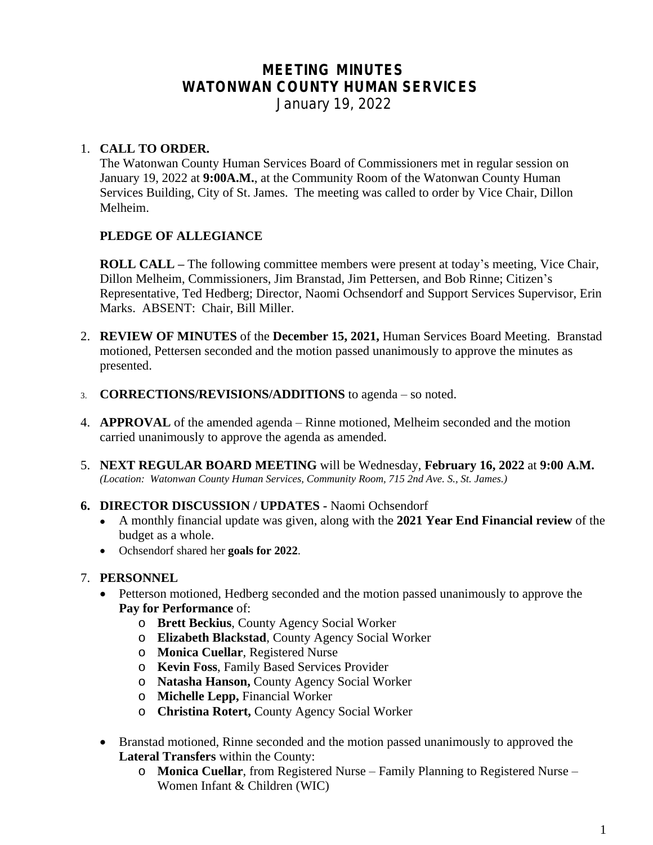# **MEETING MINUTES WATONWAN COUNTY HUMAN SERVICES**

*January 19, 2022*

# 1. **CALL TO ORDER.**

The Watonwan County Human Services Board of Commissioners met in regular session on January 19, 2022 at **9:00A.M.**, at the Community Room of the Watonwan County Human Services Building, City of St. James. The meeting was called to order by Vice Chair, Dillon Melheim.

# **PLEDGE OF ALLEGIANCE**

**ROLL CALL –** The following committee members were present at today's meeting, Vice Chair, Dillon Melheim, Commissioners, Jim Branstad, Jim Pettersen, and Bob Rinne; Citizen's Representative, Ted Hedberg; Director, Naomi Ochsendorf and Support Services Supervisor, Erin Marks. ABSENT: Chair, Bill Miller.

- 2. **REVIEW OF MINUTES** of the **December 15, 2021,** Human Services Board Meeting. Branstad motioned, Pettersen seconded and the motion passed unanimously to approve the minutes as presented.
- 3. **CORRECTIONS/REVISIONS/ADDITIONS** to agenda so noted.
- 4. **APPROVAL** of the amended agenda Rinne motioned, Melheim seconded and the motion carried unanimously to approve the agenda as amended.
- 5. **NEXT REGULAR BOARD MEETING** will be Wednesday, **February 16, 2022** at **9:00 A.M.** *(Location: Watonwan County Human Services, Community Room, 715 2nd Ave. S., St. James.)*
- **6. DIRECTOR DISCUSSION / UPDATES** Naomi Ochsendorf
	- A monthly financial update was given, along with the **2021 Year End Financial review** of the budget as a whole.
	- Ochsendorf shared her **goals for 2022**.

### 7. **PERSONNEL**

- Petterson motioned, Hedberg seconded and the motion passed unanimously to approve the **Pay for Performance** of:
	- o **Brett Beckius**, County Agency Social Worker
	- o **Elizabeth Blackstad**, County Agency Social Worker
	- o **Monica Cuellar**, Registered Nurse
	- o **Kevin Foss**, Family Based Services Provider
	- o **Natasha Hanson,** County Agency Social Worker
	- o **Michelle Lepp,** Financial Worker
	- o **Christina Rotert,** County Agency Social Worker
- Branstad motioned, Rinne seconded and the motion passed unanimously to approved the **Lateral Transfers** within the County:
	- o **Monica Cuellar**, from Registered Nurse Family Planning to Registered Nurse Women Infant & Children (WIC)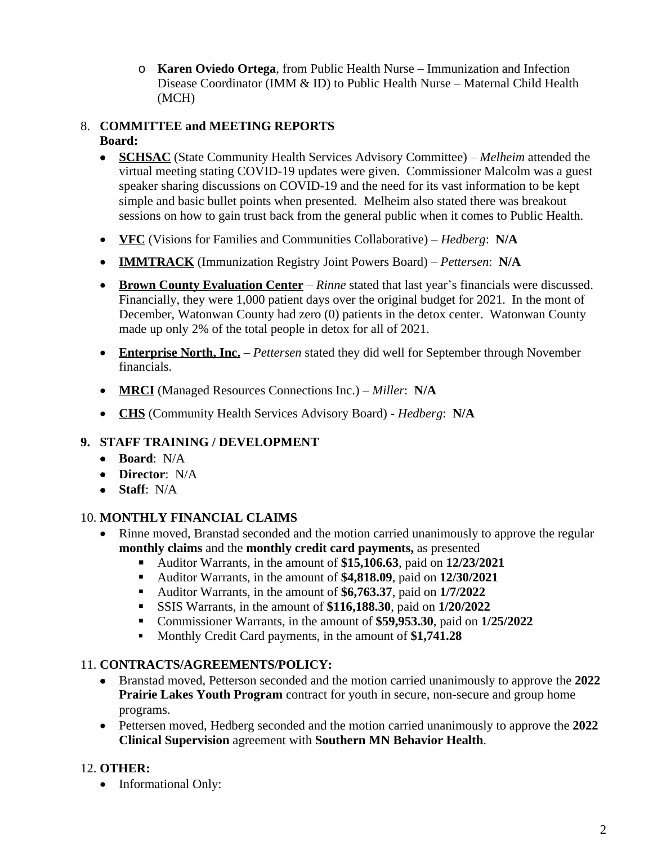o **Karen Oviedo Ortega**, from Public Health Nurse – Immunization and Infection Disease Coordinator (IMM & ID) to Public Health Nurse – Maternal Child Health (MCH)

#### 8. **COMMITTEE and MEETING REPORTS Board:**

- **SCHSAC** (State Community Health Services Advisory Committee) *Melheim* attended the virtual meeting stating COVID-19 updates were given. Commissioner Malcolm was a guest speaker sharing discussions on COVID-19 and the need for its vast information to be kept simple and basic bullet points when presented. Melheim also stated there was breakout sessions on how to gain trust back from the general public when it comes to Public Health.
- **VFC** (Visions for Families and Communities Collaborative) *Hedberg*: **N/A**
- **IMMTRACK** (Immunization Registry Joint Powers Board) *Pettersen*: **N/A**
- **Brown County Evaluation Center** *Rinne* stated that last year's financials were discussed. Financially, they were 1,000 patient days over the original budget for 2021. In the mont of December, Watonwan County had zero (0) patients in the detox center. Watonwan County made up only 2% of the total people in detox for all of 2021.
- **Enterprise North, Inc.** *Pettersen* stated they did well for September through November financials.
- **MRCI** (Managed Resources Connections Inc.) *Miller*: **N/A**
- **CHS** (Community Health Services Advisory Board) *Hedberg*: **N/A**

# **9. STAFF TRAINING / DEVELOPMENT**

- **Board**: N/A
- **Director**: N/A
- **Staff**: N/A

### 10. **MONTHLY FINANCIAL CLAIMS**

- Rinne moved, Branstad seconded and the motion carried unanimously to approve the regular **monthly claims** and the **monthly credit card payments,** as presented
	- Auditor Warrants, in the amount of **\$15,106.63**, paid on **12/23/2021**
	- Auditor Warrants, in the amount of **\$4,818.09**, paid on **12/30/2021**
	- Auditor Warrants, in the amount of **\$6,763.37**, paid on **1/7/2022**
	- SSIS Warrants, in the amount of **\$116,188.30**, paid on **1/20/2022**
	- Commissioner Warrants, in the amount of **\$59,953.30**, paid on **1/25/2022**
	- Monthly Credit Card payments, in the amount of **\$1,741.28**

### 11. **CONTRACTS/AGREEMENTS/POLICY:**

- Branstad moved, Petterson seconded and the motion carried unanimously to approve the **2022 Prairie Lakes Youth Program** contract for youth in secure, non-secure and group home programs.
- Pettersen moved, Hedberg seconded and the motion carried unanimously to approve the **2022 Clinical Supervision** agreement with **Southern MN Behavior Health**.

# 12. **OTHER:**

• Informational Only: